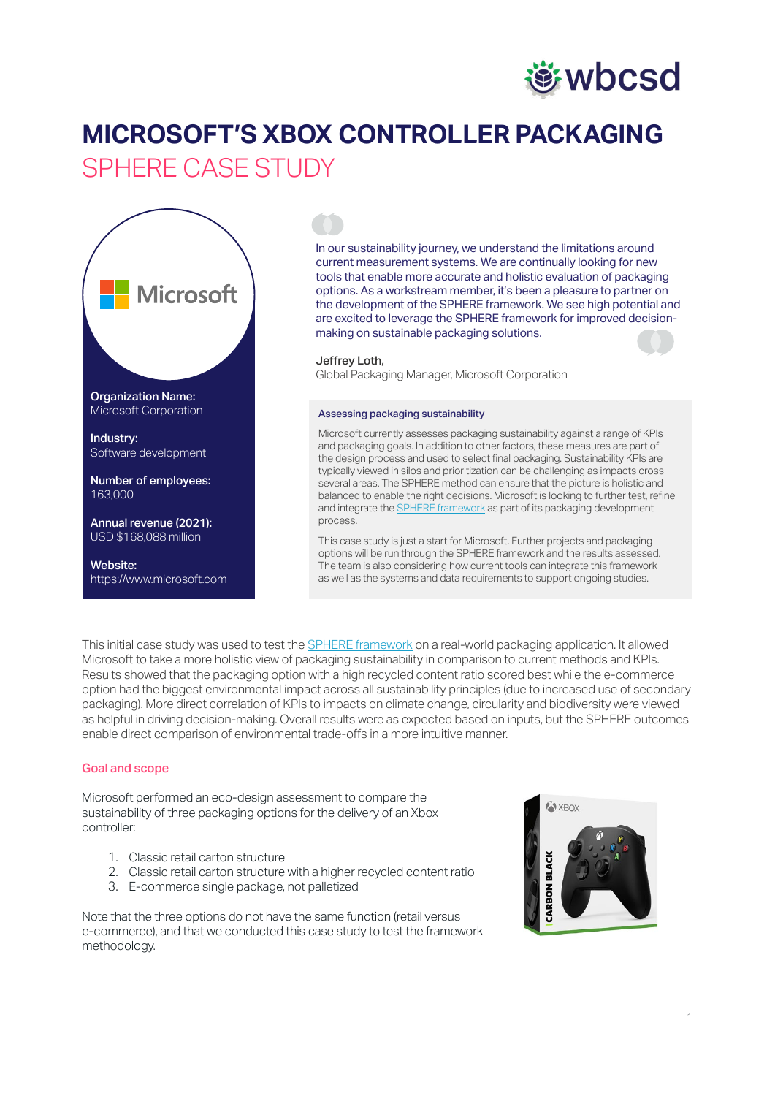# **遊wbcsd**

# **MICROSOFT'S XBOX CONTROLLER PACKAGING** SPHERE CASE STUDY



In our sustainability journey, we understand the limitations around current measurement systems. We are continually looking for new tools that enable more accurate and holistic evaluation of packaging options. As a workstream member, it's been a pleasure to partner on the development of the [SPHERE framework](mailto:https://www.wbcsd.org/Programs/Circular-Economy/Sustainable-Plastics-and-Packaging-Value-Chains/Circular-Sustainability-Assessment-for-Packaging/Resources/SPHERE-the-packaging-sustainability-framework?subject=). We see high potential and are excited to leverage the SPHERE framework for improved decisionmaking on sustainable packaging solutions.

#### Jeffrey Loth,

Global Packaging Manager, Microsoft Corporation

#### Assessing packaging sustainability

Microsoft currently assesses packaging sustainability against a range of KPIs and packaging goals. In addition to other factors, these measures are part of the design process and used to select final packaging. Sustainability KPIs are typically viewed in silos and prioritization can be challenging as impacts cross several areas. The SPHERE method can ensure that the picture is holistic and balanced to enable the right decisions. Microsoft is looking to further test, refine and integrate the **SPHERE** framework as part of its packaging development process.

This case study is just a start for Microsoft. Further projects and packaging options will be run through the SPHERE framework and the results assessed. The team is also considering how current tools can integrate this framework as well as the systems and data requirements to support ongoing studies.

This initial case study was used to test the [SPHERE framework](https://www.wbcsd.org/Programs/Circular-Economy/Sustainable-Plastics-and-Packaging-Value-Chains/Circular-Sustainability-Assessment-for-Packaging/Resources/SPHERE-the-packaging-sustainability-framework) on a real-world packaging application. It allowed Microsoft to take a more holistic view of packaging sustainability in comparison to current methods and KPIs. Results showed that the packaging option with a high recycled content ratio scored best while the e-commerce option had the biggest environmental impact across all sustainability principles (due to increased use of secondary packaging). More direct correlation of KPIs to impacts on climate change, circularity and biodiversity were viewed as helpful in driving decision-making. Overall results were as expected based on inputs, but the SPHERE outcomes enable direct comparison of environmental trade-offs in a more intuitive manner.

#### Goal and scope

Microsoft performed an eco-design assessment to compare the sustainability of three packaging options for the delivery of an Xbox controller:

- 1. Classic retail carton structure
- 2. Classic retail carton structure with a higher recycled content ratio
- 3. E-commerce single package, not palletized

Note that the three options do not have the same function (retail versus e-commerce), and that we conducted this case study to test the framework methodology.

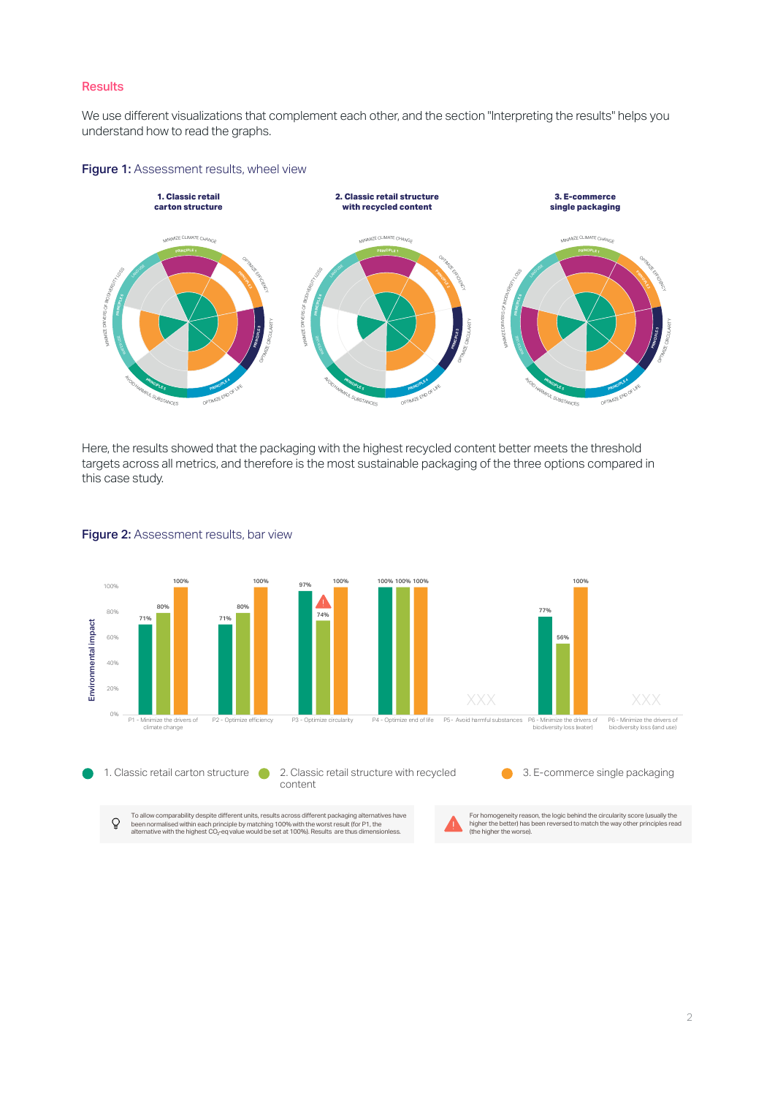### **Results**

We use different visualizations that complement each other, and the section "Interpreting the results" helps you understand how to read the graphs.



#### Figure 1: Assessment results, wheel view

Here, the results showed that the packaging with the highest recycled content better meets the threshold targets across all metrics, and therefore is the most sustainable packaging of the three options compared in this case study.



# Figure 2: Assessment results, bar view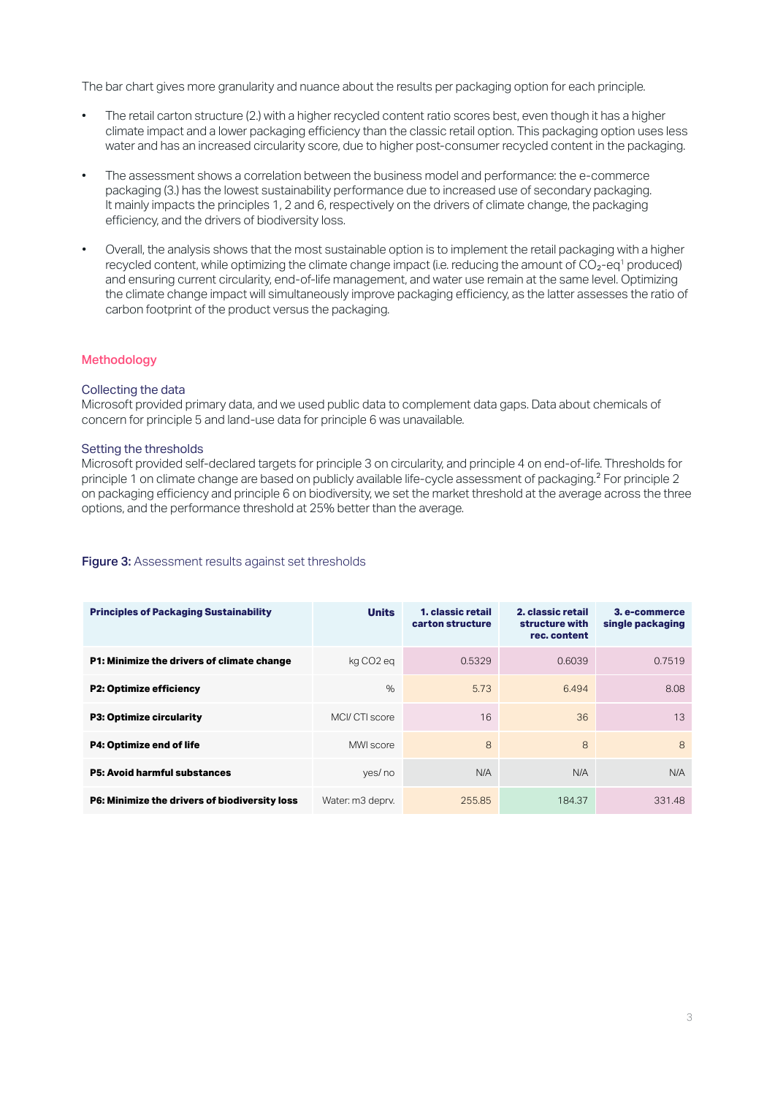The bar chart gives more granularity and nuance about the results per packaging option for each principle.

- The retail carton structure (2.) with a higher recycled content ratio scores best, even though it has a higher climate impact and a lower packaging efficiency than the classic retail option. This packaging option uses less water and has an increased circularity score, due to higher post-consumer recycled content in the packaging.
- The assessment shows a correlation between the business model and performance: the e-commerce packaging (3.) has the lowest sustainability performance due to increased use of secondary packaging. It mainly impacts the principles 1, 2 and 6, respectively on the drivers of climate change, the packaging efficiency, and the drivers of biodiversity loss.
- Overall, the analysis shows that the most sustainable option is to implement the retail packaging with a higher recycled content, while optimizing the climate change impact (i.e. reducing the amount of  $CO<sub>2</sub>-eq<sup>1</sup>$  produced) and ensuring current circularity, end-of-life management, and water use remain at the same level. Optimizing the climate change impact will simultaneously improve packaging efficiency, as the latter assesses the ratio of carbon footprint of the product versus the packaging.

# Methodology

#### Collecting the data

Microsoft provided primary data, and we used public data to complement data gaps. Data about chemicals of concern for principle 5 and land-use data for principle 6 was unavailable.

#### Setting the thresholds

Microsoft provided self-declared targets for principle 3 on circularity, and principle 4 on end-of-life. Thresholds for principle 1 on climate change are based on publicly available life-cycle assessment of packaging.2 For principle 2 on packaging efficiency and principle 6 on biodiversity, we set the market threshold at the average across the three options, and the performance threshold at 25% better than the average.

# Figure 3: Assessment results against set thresholds

| <b>Principles of Packaging Sustainability</b> | <b>Units</b>          | 1. classic retail<br>carton structure | 2. classic retail<br>structure with<br>rec. content | 3. e-commerce<br>single packaging |
|-----------------------------------------------|-----------------------|---------------------------------------|-----------------------------------------------------|-----------------------------------|
| P1: Minimize the drivers of climate change    | kg CO <sub>2</sub> eg | 0.5329                                | 0.6039                                              | 0.7519                            |
| <b>P2: Optimize efficiency</b>                | $\%$                  | 5.73                                  | 6.494                                               | 8.08                              |
| <b>P3: Optimize circularity</b>               | MCI/CTI score         | 16                                    | 36                                                  | 13                                |
| P4: Optimize end of life                      | MWI score             | 8                                     | 8                                                   | 8                                 |
| <b>P5: Avoid harmful substances</b>           | yes/no                | N/A                                   | N/A                                                 | N/A                               |
| P6: Minimize the drivers of biodiversity loss | Water: m3 deprv.      | 255.85                                | 184.37                                              | 331.48                            |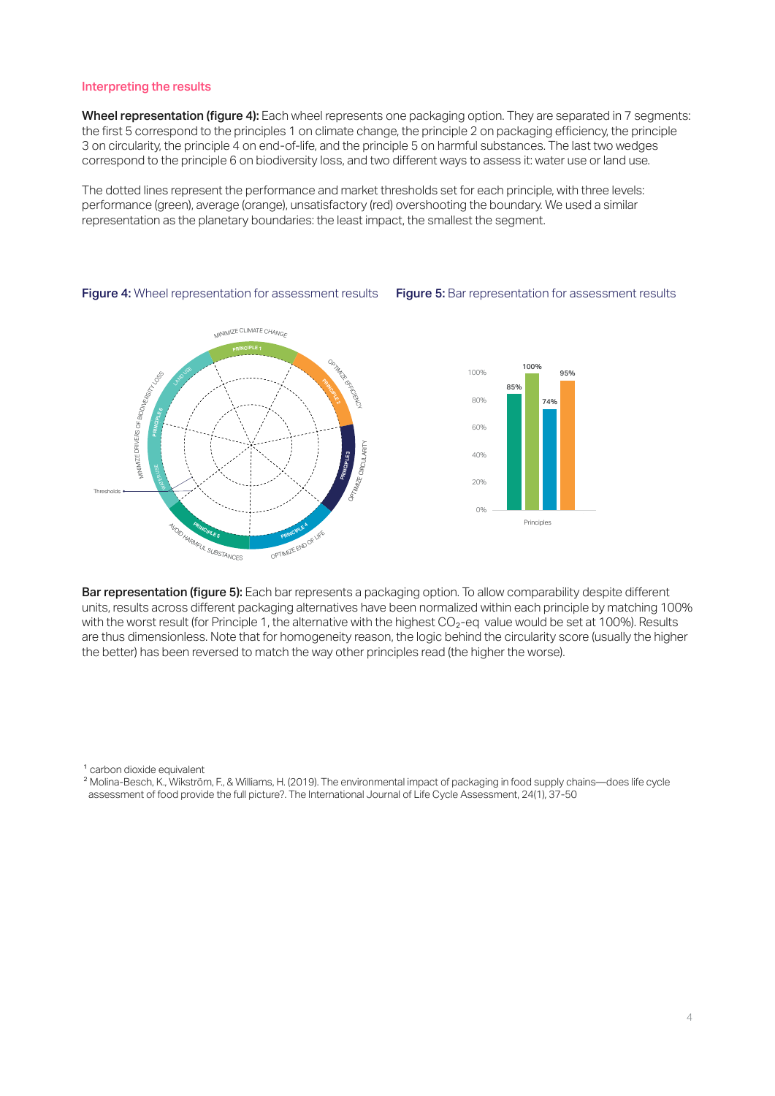#### Interpreting the results

Wheel representation (figure 4): Each wheel represents one packaging option. They are separated in 7 segments: the first 5 correspond to the principles 1 on climate change, the principle 2 on packaging efficiency, the principle 3 on circularity, the principle 4 on end-of-life, and the principle 5 on harmful substances. The last two wedges correspond to the principle 6 on biodiversity loss, and two different ways to assess it: water use or land use.

The dotted lines represent the performance and market thresholds set for each principle, with three levels: performance (green), average (orange), unsatisfactory (red) overshooting the boundary. We used a similar representation as the planetary boundaries: the least impact, the smallest the segment.



Figure 4: Wheel representation for assessment results Figure 5: Bar representation for assessment results

Bar representation (figure 5): Each bar represents a packaging option. To allow comparability despite different units, results across different packaging alternatives have been normalized within each principle by matching 100% with the worst result (for Principle 1, the alternative with the highest  $CO<sub>2</sub>$ -eq value would be set at 100%). Results are thus dimensionless. Note that for homogeneity reason, the logic behind the circularity score (usually the higher the better) has been reversed to match the way other principles read (the higher the worse).

1 carbon dioxide equivalent

2 Molina-Besch, K., Wikström, F., & Williams, H. (2019). The environmental impact of packaging in food supply chains—does life cycle assessment of food provide the full picture?. The International Journal of Life Cycle Assessment, 24(1), 37-50